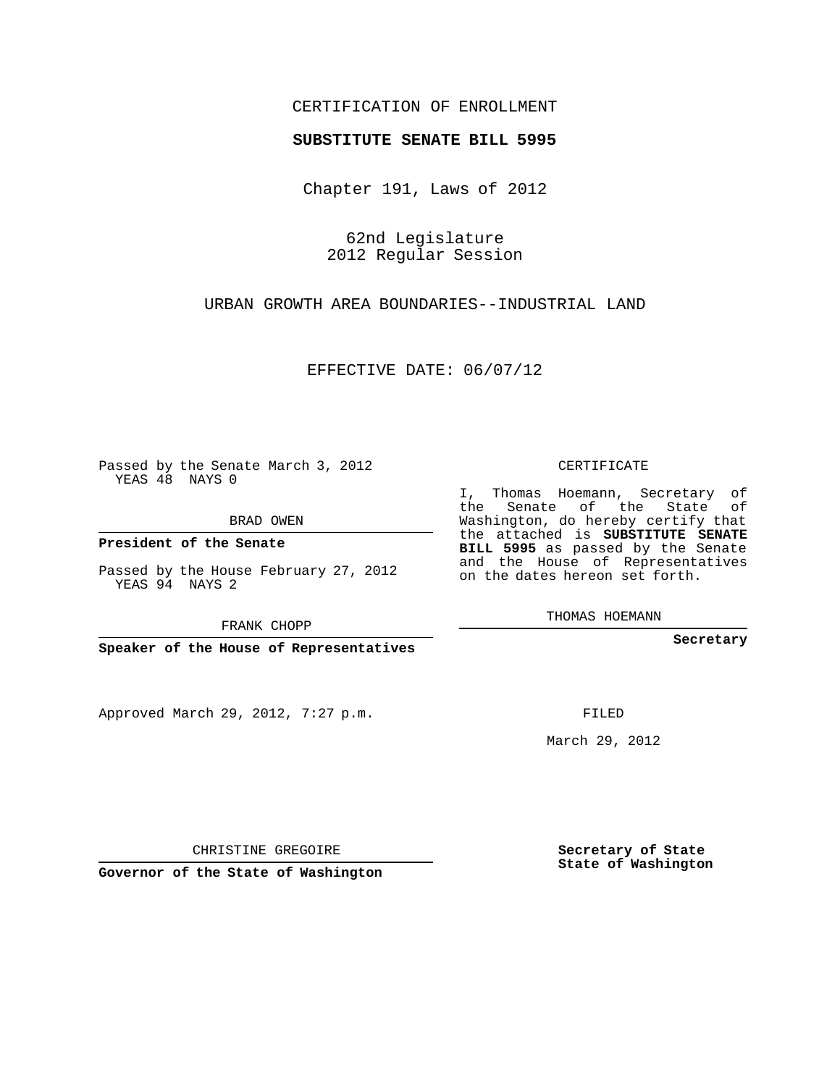## CERTIFICATION OF ENROLLMENT

## **SUBSTITUTE SENATE BILL 5995**

Chapter 191, Laws of 2012

62nd Legislature 2012 Regular Session

URBAN GROWTH AREA BOUNDARIES--INDUSTRIAL LAND

EFFECTIVE DATE: 06/07/12

Passed by the Senate March 3, 2012 YEAS 48 NAYS 0

BRAD OWEN

**President of the Senate**

Passed by the House February 27, 2012 YEAS 94 NAYS 2

FRANK CHOPP

**Speaker of the House of Representatives**

Approved March 29, 2012, 7:27 p.m.

CERTIFICATE

I, Thomas Hoemann, Secretary of the Senate of the State of Washington, do hereby certify that the attached is **SUBSTITUTE SENATE BILL 5995** as passed by the Senate and the House of Representatives on the dates hereon set forth.

THOMAS HOEMANN

**Secretary**

FILED

March 29, 2012

**Secretary of State State of Washington**

CHRISTINE GREGOIRE

**Governor of the State of Washington**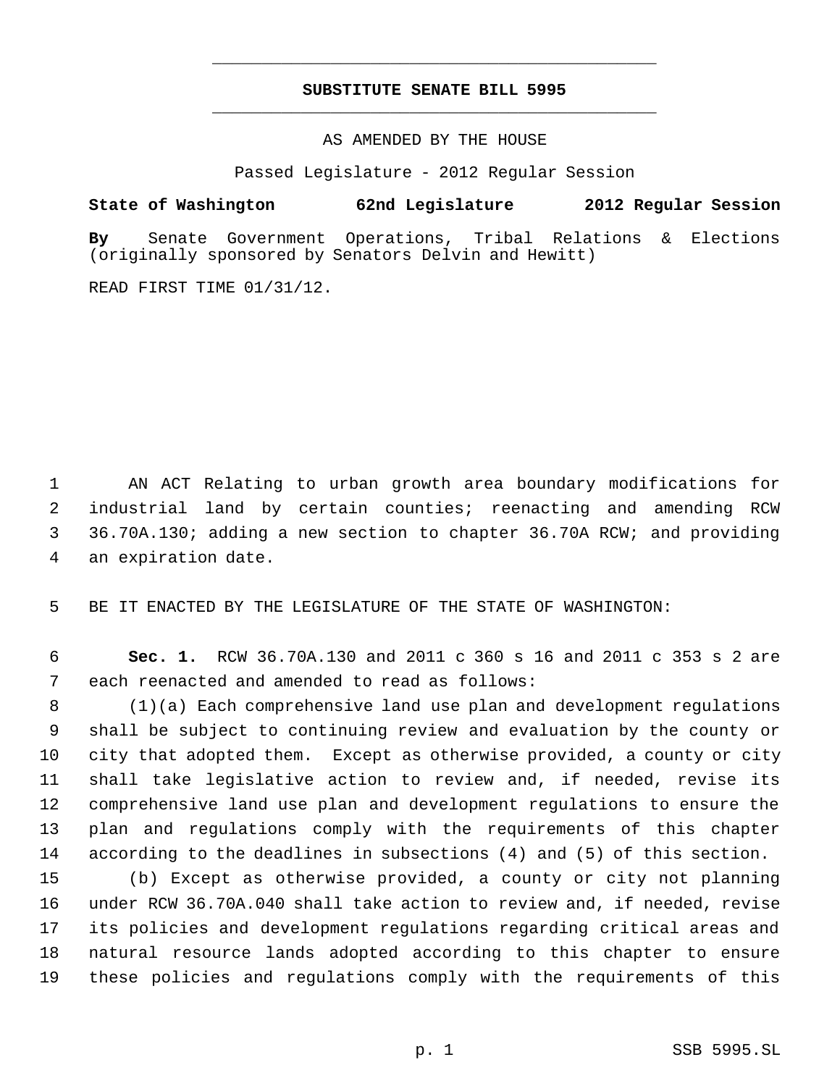## **SUBSTITUTE SENATE BILL 5995** \_\_\_\_\_\_\_\_\_\_\_\_\_\_\_\_\_\_\_\_\_\_\_\_\_\_\_\_\_\_\_\_\_\_\_\_\_\_\_\_\_\_\_\_\_

\_\_\_\_\_\_\_\_\_\_\_\_\_\_\_\_\_\_\_\_\_\_\_\_\_\_\_\_\_\_\_\_\_\_\_\_\_\_\_\_\_\_\_\_\_

AS AMENDED BY THE HOUSE

Passed Legislature - 2012 Regular Session

## **State of Washington 62nd Legislature 2012 Regular Session**

**By** Senate Government Operations, Tribal Relations & Elections (originally sponsored by Senators Delvin and Hewitt)

READ FIRST TIME 01/31/12.

 AN ACT Relating to urban growth area boundary modifications for industrial land by certain counties; reenacting and amending RCW 36.70A.130; adding a new section to chapter 36.70A RCW; and providing an expiration date.

BE IT ENACTED BY THE LEGISLATURE OF THE STATE OF WASHINGTON:

 **Sec. 1.** RCW 36.70A.130 and 2011 c 360 s 16 and 2011 c 353 s 2 are each reenacted and amended to read as follows:

 (1)(a) Each comprehensive land use plan and development regulations shall be subject to continuing review and evaluation by the county or city that adopted them. Except as otherwise provided, a county or city shall take legislative action to review and, if needed, revise its comprehensive land use plan and development regulations to ensure the plan and regulations comply with the requirements of this chapter according to the deadlines in subsections (4) and (5) of this section.

 (b) Except as otherwise provided, a county or city not planning under RCW 36.70A.040 shall take action to review and, if needed, revise its policies and development regulations regarding critical areas and natural resource lands adopted according to this chapter to ensure these policies and regulations comply with the requirements of this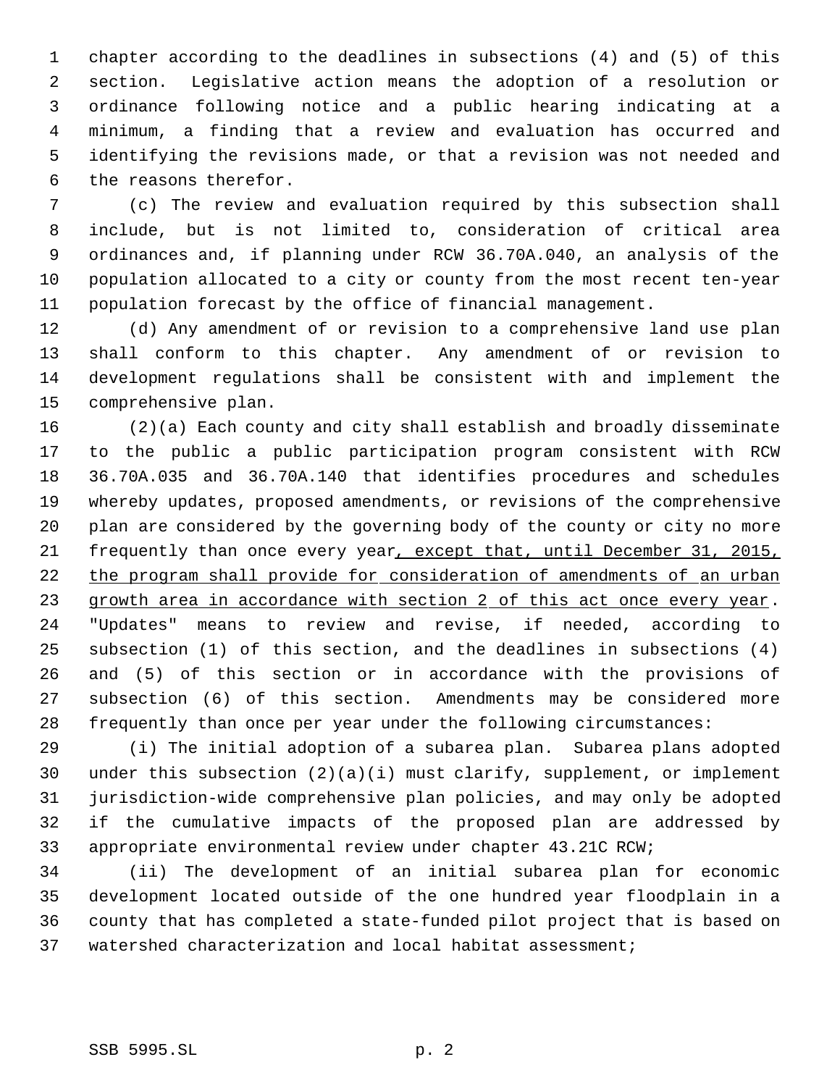chapter according to the deadlines in subsections (4) and (5) of this section. Legislative action means the adoption of a resolution or ordinance following notice and a public hearing indicating at a minimum, a finding that a review and evaluation has occurred and identifying the revisions made, or that a revision was not needed and the reasons therefor.

 (c) The review and evaluation required by this subsection shall include, but is not limited to, consideration of critical area ordinances and, if planning under RCW 36.70A.040, an analysis of the population allocated to a city or county from the most recent ten-year population forecast by the office of financial management.

 (d) Any amendment of or revision to a comprehensive land use plan shall conform to this chapter. Any amendment of or revision to development regulations shall be consistent with and implement the comprehensive plan.

 (2)(a) Each county and city shall establish and broadly disseminate to the public a public participation program consistent with RCW 36.70A.035 and 36.70A.140 that identifies procedures and schedules whereby updates, proposed amendments, or revisions of the comprehensive plan are considered by the governing body of the county or city no more frequently than once every year, except that, until December 31, 2015, the program shall provide for consideration of amendments of an urban 23 growth area in accordance with section 2 of this act once every year. "Updates" means to review and revise, if needed, according to subsection (1) of this section, and the deadlines in subsections (4) and (5) of this section or in accordance with the provisions of subsection (6) of this section. Amendments may be considered more frequently than once per year under the following circumstances:

 (i) The initial adoption of a subarea plan. Subarea plans adopted under this subsection (2)(a)(i) must clarify, supplement, or implement jurisdiction-wide comprehensive plan policies, and may only be adopted if the cumulative impacts of the proposed plan are addressed by appropriate environmental review under chapter 43.21C RCW;

 (ii) The development of an initial subarea plan for economic development located outside of the one hundred year floodplain in a county that has completed a state-funded pilot project that is based on watershed characterization and local habitat assessment;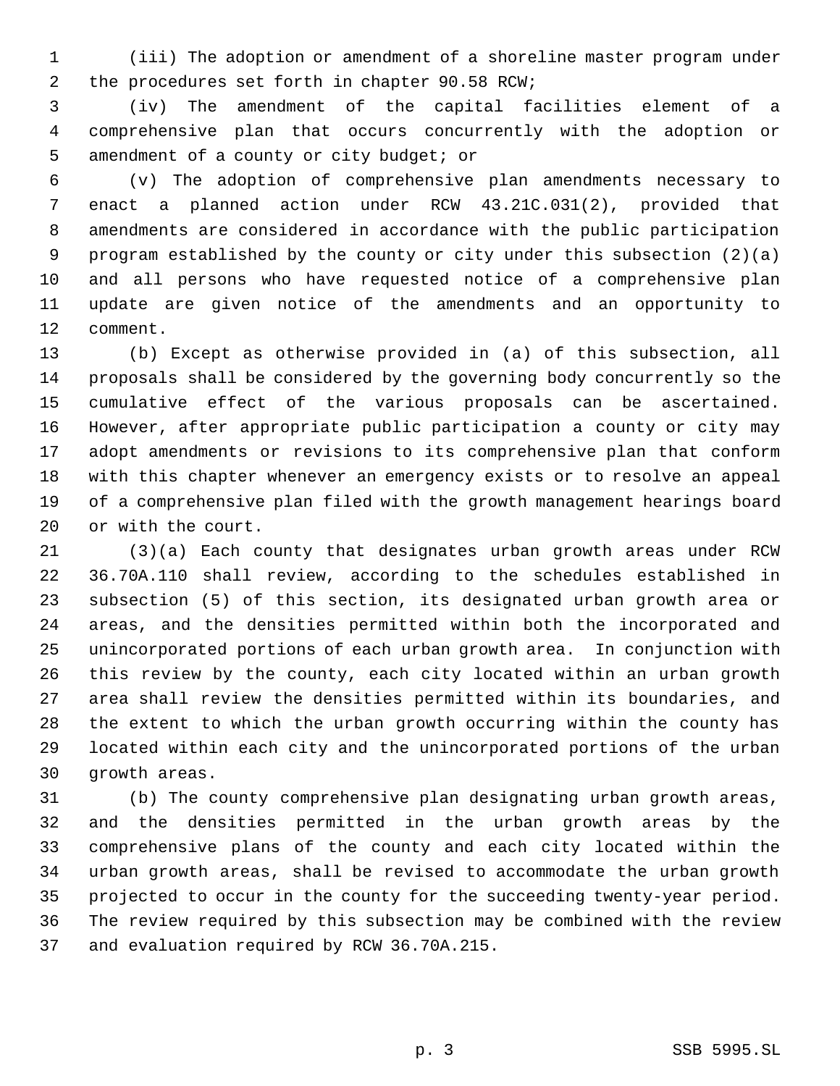(iii) The adoption or amendment of a shoreline master program under 2 the procedures set forth in chapter 90.58 RCW;

 (iv) The amendment of the capital facilities element of a comprehensive plan that occurs concurrently with the adoption or 5 amendment of a county or city budget; or

 (v) The adoption of comprehensive plan amendments necessary to enact a planned action under RCW 43.21C.031(2), provided that amendments are considered in accordance with the public participation program established by the county or city under this subsection (2)(a) and all persons who have requested notice of a comprehensive plan update are given notice of the amendments and an opportunity to comment.

 (b) Except as otherwise provided in (a) of this subsection, all proposals shall be considered by the governing body concurrently so the cumulative effect of the various proposals can be ascertained. However, after appropriate public participation a county or city may adopt amendments or revisions to its comprehensive plan that conform with this chapter whenever an emergency exists or to resolve an appeal of a comprehensive plan filed with the growth management hearings board or with the court.

 (3)(a) Each county that designates urban growth areas under RCW 36.70A.110 shall review, according to the schedules established in subsection (5) of this section, its designated urban growth area or areas, and the densities permitted within both the incorporated and unincorporated portions of each urban growth area. In conjunction with this review by the county, each city located within an urban growth area shall review the densities permitted within its boundaries, and the extent to which the urban growth occurring within the county has located within each city and the unincorporated portions of the urban growth areas.

 (b) The county comprehensive plan designating urban growth areas, and the densities permitted in the urban growth areas by the comprehensive plans of the county and each city located within the urban growth areas, shall be revised to accommodate the urban growth projected to occur in the county for the succeeding twenty-year period. The review required by this subsection may be combined with the review and evaluation required by RCW 36.70A.215.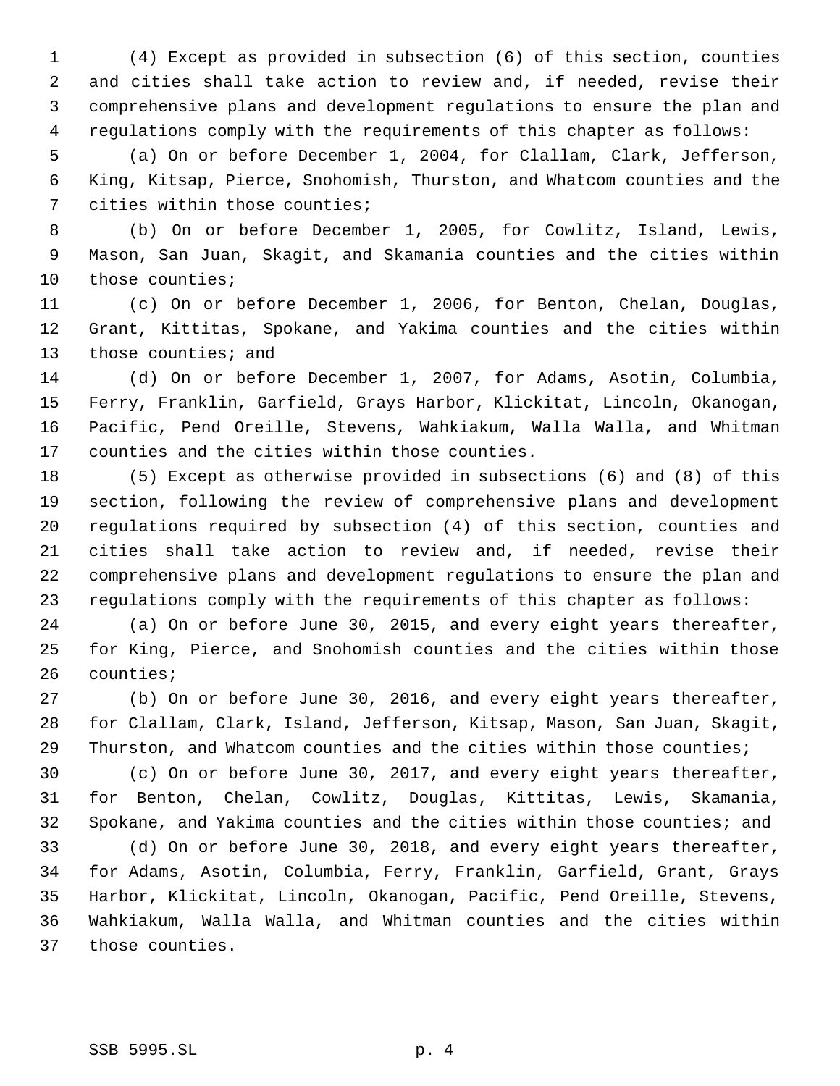(4) Except as provided in subsection (6) of this section, counties and cities shall take action to review and, if needed, revise their comprehensive plans and development regulations to ensure the plan and regulations comply with the requirements of this chapter as follows:

 (a) On or before December 1, 2004, for Clallam, Clark, Jefferson, King, Kitsap, Pierce, Snohomish, Thurston, and Whatcom counties and the cities within those counties;

 (b) On or before December 1, 2005, for Cowlitz, Island, Lewis, Mason, San Juan, Skagit, and Skamania counties and the cities within those counties;

 (c) On or before December 1, 2006, for Benton, Chelan, Douglas, Grant, Kittitas, Spokane, and Yakima counties and the cities within 13 those counties; and

 (d) On or before December 1, 2007, for Adams, Asotin, Columbia, Ferry, Franklin, Garfield, Grays Harbor, Klickitat, Lincoln, Okanogan, Pacific, Pend Oreille, Stevens, Wahkiakum, Walla Walla, and Whitman counties and the cities within those counties.

 (5) Except as otherwise provided in subsections (6) and (8) of this section, following the review of comprehensive plans and development regulations required by subsection (4) of this section, counties and cities shall take action to review and, if needed, revise their comprehensive plans and development regulations to ensure the plan and regulations comply with the requirements of this chapter as follows:

 (a) On or before June 30, 2015, and every eight years thereafter, for King, Pierce, and Snohomish counties and the cities within those counties;

 (b) On or before June 30, 2016, and every eight years thereafter, for Clallam, Clark, Island, Jefferson, Kitsap, Mason, San Juan, Skagit, Thurston, and Whatcom counties and the cities within those counties;

 (c) On or before June 30, 2017, and every eight years thereafter, for Benton, Chelan, Cowlitz, Douglas, Kittitas, Lewis, Skamania, Spokane, and Yakima counties and the cities within those counties; and

 (d) On or before June 30, 2018, and every eight years thereafter, for Adams, Asotin, Columbia, Ferry, Franklin, Garfield, Grant, Grays Harbor, Klickitat, Lincoln, Okanogan, Pacific, Pend Oreille, Stevens, Wahkiakum, Walla Walla, and Whitman counties and the cities within those counties.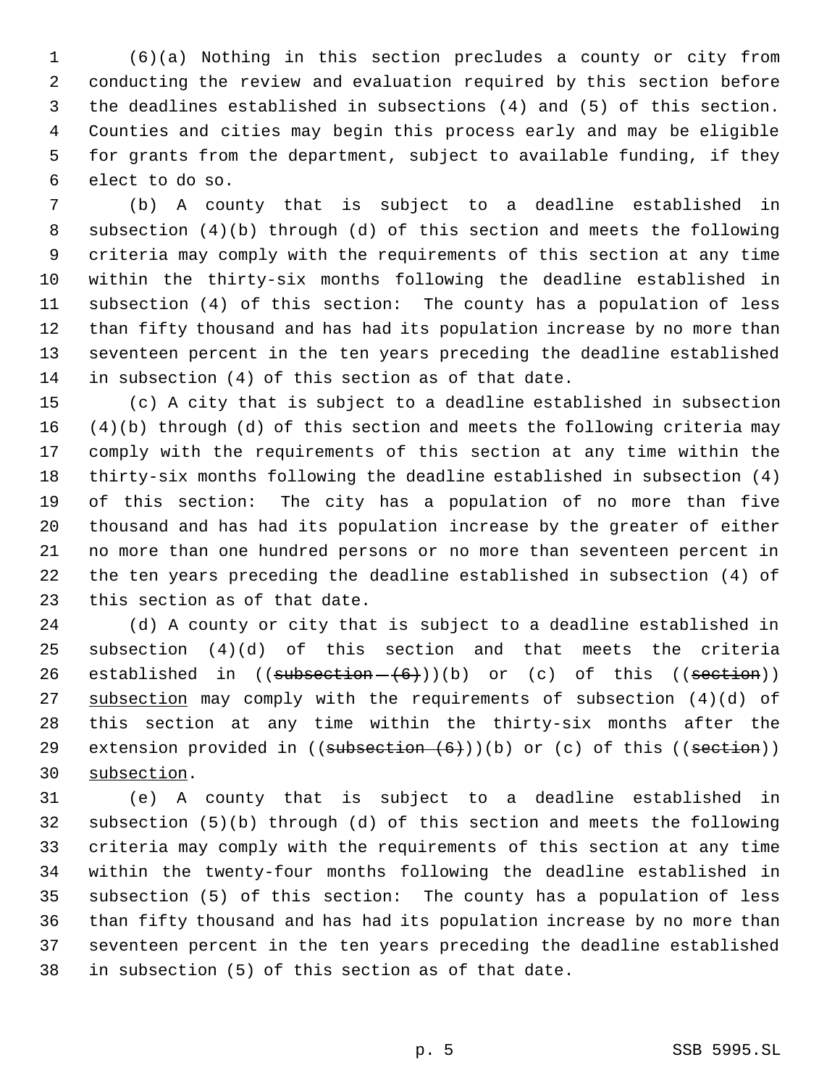(6)(a) Nothing in this section precludes a county or city from conducting the review and evaluation required by this section before the deadlines established in subsections (4) and (5) of this section. Counties and cities may begin this process early and may be eligible for grants from the department, subject to available funding, if they elect to do so.

 (b) A county that is subject to a deadline established in subsection (4)(b) through (d) of this section and meets the following criteria may comply with the requirements of this section at any time within the thirty-six months following the deadline established in subsection (4) of this section: The county has a population of less than fifty thousand and has had its population increase by no more than seventeen percent in the ten years preceding the deadline established in subsection (4) of this section as of that date.

 (c) A city that is subject to a deadline established in subsection (4)(b) through (d) of this section and meets the following criteria may comply with the requirements of this section at any time within the thirty-six months following the deadline established in subsection (4) of this section: The city has a population of no more than five thousand and has had its population increase by the greater of either no more than one hundred persons or no more than seventeen percent in the ten years preceding the deadline established in subsection (4) of this section as of that date.

 (d) A county or city that is subject to a deadline established in subsection (4)(d) of this section and that meets the criteria 26 established in  $((\text{subsection} - \{6\}))$ (b) or (c) of this  $((\text{section}))$ 27 subsection may comply with the requirements of subsection (4)(d) of this section at any time within the thirty-six months after the 29 extension provided in  $((subsection+(6)))(b)$  or  $(c)$  of this  $((section))$ subsection.

 (e) A county that is subject to a deadline established in subsection (5)(b) through (d) of this section and meets the following criteria may comply with the requirements of this section at any time within the twenty-four months following the deadline established in subsection (5) of this section: The county has a population of less than fifty thousand and has had its population increase by no more than seventeen percent in the ten years preceding the deadline established in subsection (5) of this section as of that date.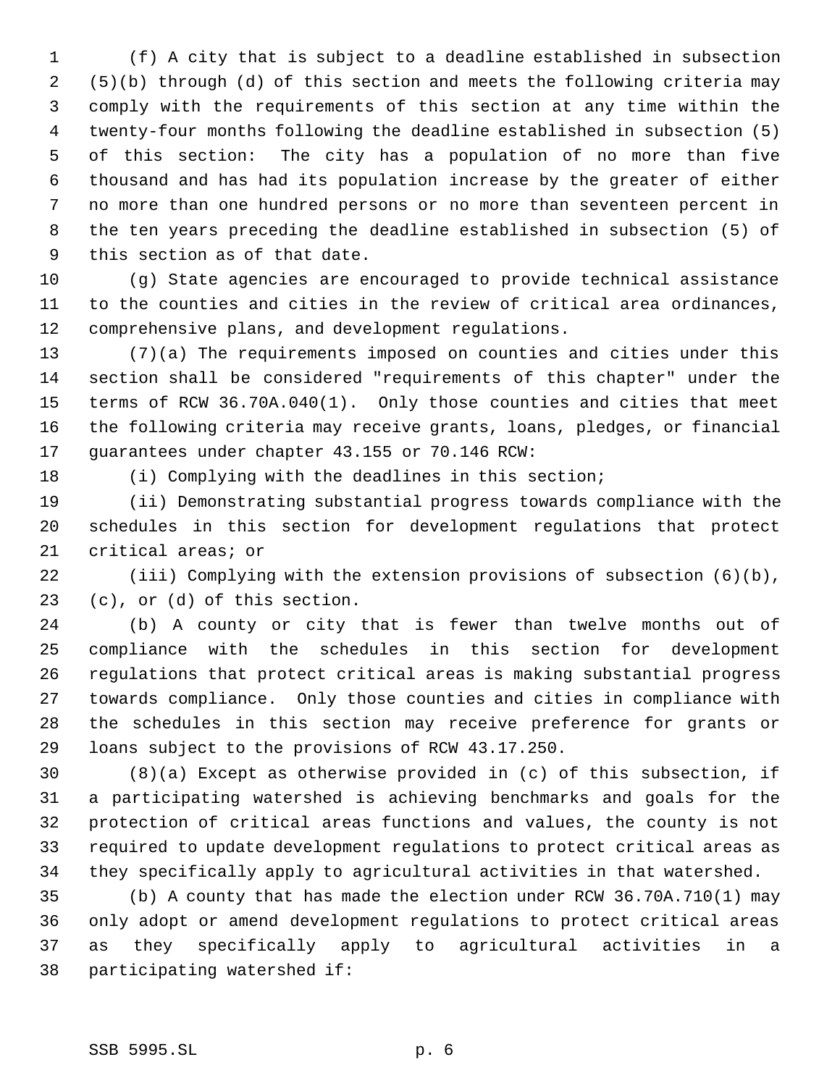(f) A city that is subject to a deadline established in subsection (5)(b) through (d) of this section and meets the following criteria may comply with the requirements of this section at any time within the twenty-four months following the deadline established in subsection (5) of this section: The city has a population of no more than five thousand and has had its population increase by the greater of either no more than one hundred persons or no more than seventeen percent in the ten years preceding the deadline established in subsection (5) of this section as of that date.

 (g) State agencies are encouraged to provide technical assistance to the counties and cities in the review of critical area ordinances, comprehensive plans, and development regulations.

 (7)(a) The requirements imposed on counties and cities under this section shall be considered "requirements of this chapter" under the terms of RCW 36.70A.040(1). Only those counties and cities that meet the following criteria may receive grants, loans, pledges, or financial guarantees under chapter 43.155 or 70.146 RCW:

(i) Complying with the deadlines in this section;

 (ii) Demonstrating substantial progress towards compliance with the schedules in this section for development regulations that protect critical areas; or

 (iii) Complying with the extension provisions of subsection (6)(b), (c), or (d) of this section.

 (b) A county or city that is fewer than twelve months out of compliance with the schedules in this section for development regulations that protect critical areas is making substantial progress towards compliance. Only those counties and cities in compliance with the schedules in this section may receive preference for grants or loans subject to the provisions of RCW 43.17.250.

 (8)(a) Except as otherwise provided in (c) of this subsection, if a participating watershed is achieving benchmarks and goals for the protection of critical areas functions and values, the county is not required to update development regulations to protect critical areas as they specifically apply to agricultural activities in that watershed.

 (b) A county that has made the election under RCW 36.70A.710(1) may only adopt or amend development regulations to protect critical areas as they specifically apply to agricultural activities in a participating watershed if: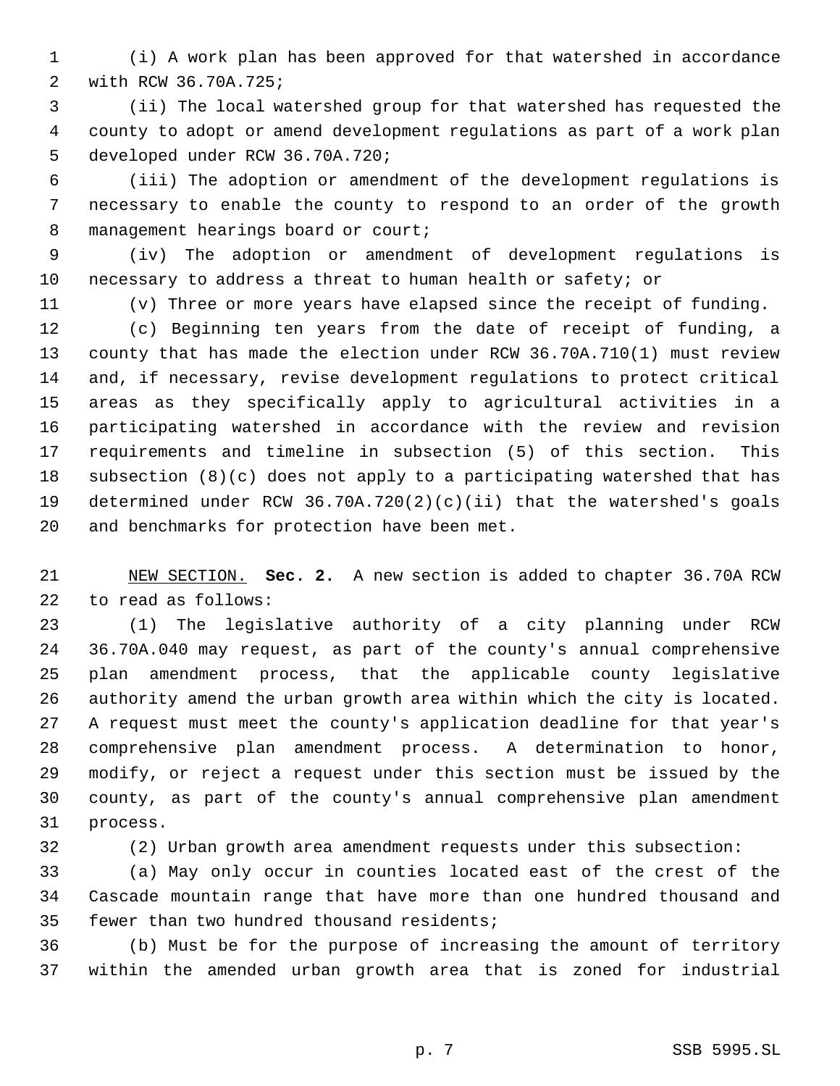(i) A work plan has been approved for that watershed in accordance with RCW 36.70A.725;

 (ii) The local watershed group for that watershed has requested the county to adopt or amend development regulations as part of a work plan developed under RCW 36.70A.720;

 (iii) The adoption or amendment of the development regulations is necessary to enable the county to respond to an order of the growth 8 management hearings board or court;

 (iv) The adoption or amendment of development regulations is necessary to address a threat to human health or safety; or

(v) Three or more years have elapsed since the receipt of funding.

 (c) Beginning ten years from the date of receipt of funding, a county that has made the election under RCW 36.70A.710(1) must review and, if necessary, revise development regulations to protect critical areas as they specifically apply to agricultural activities in a participating watershed in accordance with the review and revision requirements and timeline in subsection (5) of this section. This subsection (8)(c) does not apply to a participating watershed that has determined under RCW 36.70A.720(2)(c)(ii) that the watershed's goals and benchmarks for protection have been met.

 NEW SECTION. **Sec. 2.** A new section is added to chapter 36.70A RCW to read as follows:

 (1) The legislative authority of a city planning under RCW 36.70A.040 may request, as part of the county's annual comprehensive plan amendment process, that the applicable county legislative authority amend the urban growth area within which the city is located. A request must meet the county's application deadline for that year's comprehensive plan amendment process. A determination to honor, modify, or reject a request under this section must be issued by the county, as part of the county's annual comprehensive plan amendment process.

(2) Urban growth area amendment requests under this subsection:

 (a) May only occur in counties located east of the crest of the Cascade mountain range that have more than one hundred thousand and fewer than two hundred thousand residents;

 (b) Must be for the purpose of increasing the amount of territory within the amended urban growth area that is zoned for industrial